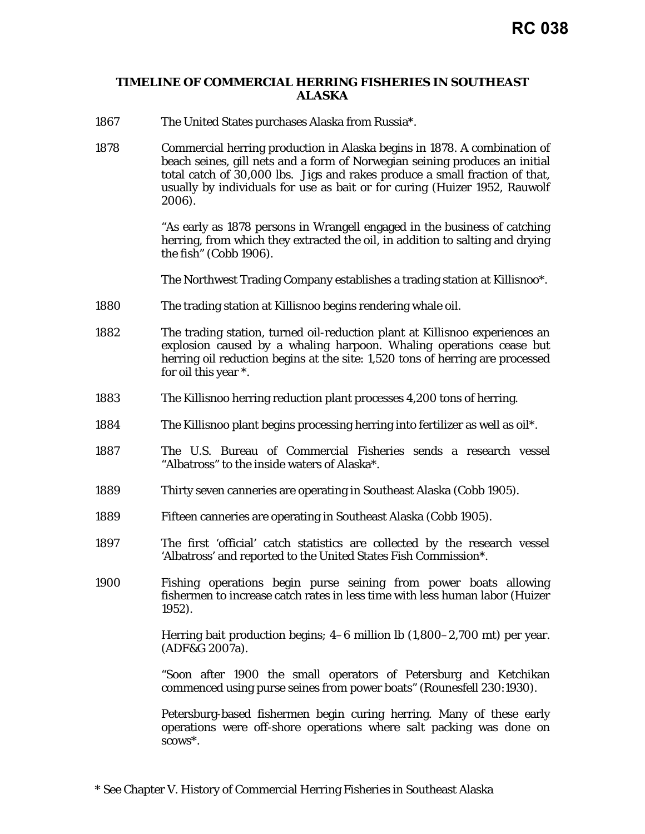## **TIMELINE OF COMMERCIAL HERRING FISHERIES IN SOUTHEAST ALASKA**

- 1867 The United States purchases Alaska from Russia\*.
- 1878 Commercial herring production in Alaska begins in 1878. A combination of beach seines, gill nets and a form of Norwegian seining produces an initial total catch of 30,000 lbs. Jigs and rakes produce a small fraction of that, usually by individuals for use as bait or for curing (Huizer 1952, Rauwolf 2006).

"As early as 1878 persons in Wrangell engaged in the business of catching herring, from which they extracted the oil, in addition to salting and drying the fish" (Cobb 1906).

The Northwest Trading Company establishes a trading station at Killisnoo\*.

- 1880 The trading station at Killisnoo begins rendering whale oil.
- 1882 The trading station, turned oil-reduction plant at Killisnoo experiences an explosion caused by a whaling harpoon. Whaling operations cease but herring oil reduction begins at the site: 1,520 tons of herring are processed for oil this year \*.
- 1883 The Killisnoo herring reduction plant processes 4,200 tons of herring.
- 1884 The Killisnoo plant begins processing herring into fertilizer as well as oil\*.
- 1887 The U.S. Bureau of Commercial Fisheries sends a research vessel "Albatross" to the inside waters of Alaska\*.
- 1889 Thirty seven canneries are operating in Southeast Alaska (Cobb 1905).
- 1889 Fifteen canneries are operating in Southeast Alaska (Cobb 1905).
- 1897 The first 'official' catch statistics are collected by the research vessel 'Albatross' and reported to the United States Fish Commission\*.
- 1900 Fishing operations begin purse seining from power boats allowing fishermen to increase catch rates in less time with less human labor (Huizer 1952).

Herring bait production begins; 4–6 million lb (1,800–2,700 mt) per year. (ADF&G 2007a).

"Soon after 1900 the small operators of Petersburg and Ketchikan commenced using purse seines from power boats" (Rounesfell 230:1930).

Petersburg-based fishermen begin curing herring. Many of these early operations were off-shore operations where salt packing was done on scows\*.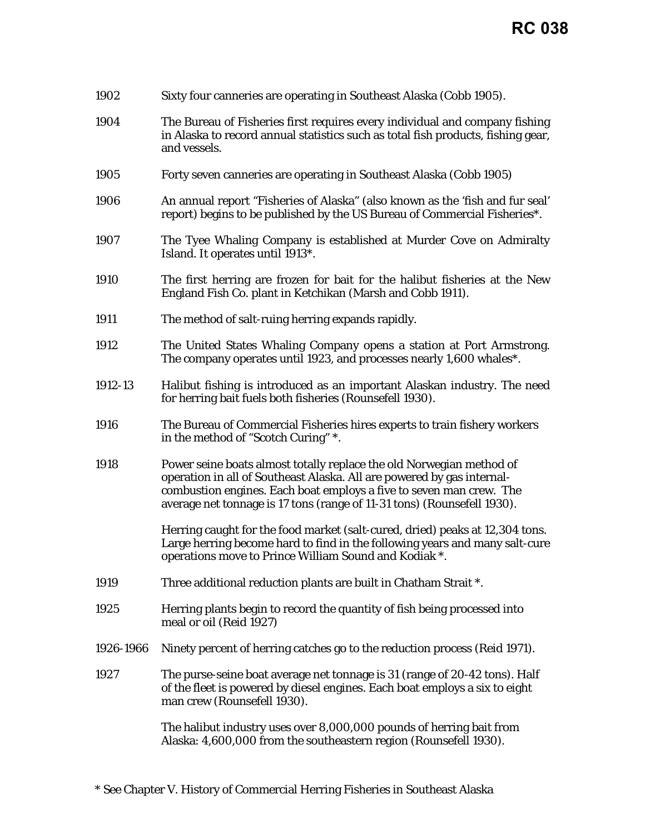| 1902      | Sixty four canneries are operating in Southeast Alaska (Cobb 1905).                                                                                                                                                                                                                              |
|-----------|--------------------------------------------------------------------------------------------------------------------------------------------------------------------------------------------------------------------------------------------------------------------------------------------------|
| 1904      | The Bureau of Fisheries first requires every individual and company fishing<br>in Alaska to record annual statistics such as total fish products, fishing gear,<br>and vessels.                                                                                                                  |
| 1905      | Forty seven canneries are operating in Southeast Alaska (Cobb 1905)                                                                                                                                                                                                                              |
| 1906      | An annual report "Fisheries of Alaska" (also known as the 'fish and fur seal'<br>report) begins to be published by the US Bureau of Commercial Fisheries*.                                                                                                                                       |
| 1907      | The Tyee Whaling Company is established at Murder Cove on Admiralty<br>Island. It operates until 1913*.                                                                                                                                                                                          |
| 1910      | The first herring are frozen for bait for the halibut fisheries at the New<br>England Fish Co. plant in Ketchikan (Marsh and Cobb 1911).                                                                                                                                                         |
| 1911      | The method of salt-ruing herring expands rapidly.                                                                                                                                                                                                                                                |
| 1912      | The United States Whaling Company opens a station at Port Armstrong.<br>The company operates until 1923, and processes nearly 1,600 whales*.                                                                                                                                                     |
| 1912-13   | Halibut fishing is introduced as an important Alaskan industry. The need<br>for herring bait fuels both fisheries (Rounsefell 1930).                                                                                                                                                             |
| 1916      | The Bureau of Commercial Fisheries hires experts to train fishery workers<br>in the method of "Scotch Curing" *.                                                                                                                                                                                 |
| 1918      | Power seine boats almost totally replace the old Norwegian method of<br>operation in all of Southeast Alaska. All are powered by gas internal-<br>combustion engines. Each boat employs a five to seven man crew. The<br>average net tonnage is 17 tons (range of 11-31 tons) (Rounsefell 1930). |
|           | Herring caught for the food market (salt-cured, dried) peaks at 12,304 tons.<br>Large herring become hard to find in the following years and many salt-cure<br>operations move to Prince William Sound and Kodiak *.                                                                             |
| 1919      | Three additional reduction plants are built in Chatham Strait *.                                                                                                                                                                                                                                 |
| 1925      | Herring plants begin to record the quantity of fish being processed into<br>meal or oil (Reid 1927)                                                                                                                                                                                              |
| 1926-1966 | Ninety percent of herring catches go to the reduction process (Reid 1971).                                                                                                                                                                                                                       |
| 1927      | The purse-seine boat average net tonnage is 31 (range of 20-42 tons). Half<br>of the fleet is powered by diesel engines. Each boat employs a six to eight<br>man crew (Rounsefell 1930).                                                                                                         |
|           | The halibut industry uses over 8,000,000 pounds of herring bait from<br>Alaska: 4,600,000 from the southeastern region (Rounsefell 1930).                                                                                                                                                        |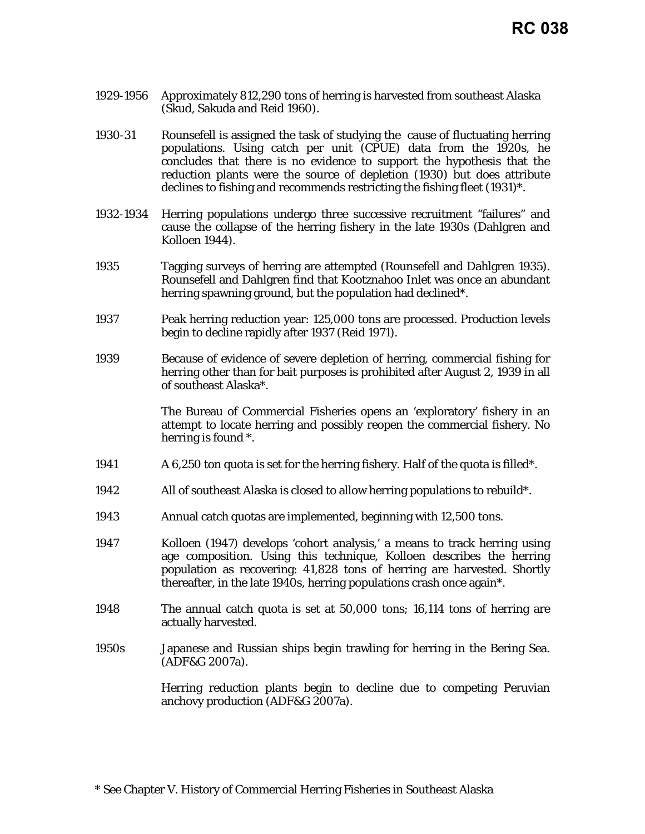- 1929-1956 Approximately 812,290 tons of herring is harvested from southeast Alaska (Skud, Sakuda and Reid 1960).
- 1930-31 Rounsefell is assigned the task of studying the cause of fluctuating herring populations. Using catch per unit (CPUE) data from the 1920s, he concludes that there is no evidence to support the hypothesis that the reduction plants were the source of depletion (1930) but does attribute declines to fishing and recommends restricting the fishing fleet (1931)\*.
- 1932-1934 Herring populations undergo three successive recruitment "failures" and cause the collapse of the herring fishery in the late 1930s (Dahlgren and Kolloen 1944).
- 1935 Tagging surveys of herring are attempted (Rounsefell and Dahlgren 1935). Rounsefell and Dahlgren find that Kootznahoo Inlet was once an abundant herring spawning ground, but the population had declined\*.
- 1937 Peak herring reduction year: 125,000 tons are processed. Production levels begin to decline rapidly after 1937 (Reid 1971).
- 1939 Because of evidence of severe depletion of herring, commercial fishing for herring other than for bait purposes is prohibited after August 2, 1939 in all of southeast Alaska\*.

The Bureau of Commercial Fisheries opens an 'exploratory' fishery in an attempt to locate herring and possibly reopen the commercial fishery. No herring is found \*.

- 1941 A 6,250 ton quota is set for the herring fishery. Half of the quota is filled\*.
- 1942 All of southeast Alaska is closed to allow herring populations to rebuild\*.
- 1943 Annual catch quotas are implemented, beginning with 12,500 tons.
- 1947 Kolloen (1947) develops 'cohort analysis,' a means to track herring using age composition. Using this technique, Kolloen describes the herring population as recovering: 41,828 tons of herring are harvested. Shortly thereafter, in the late 1940s, herring populations crash once again\*.
- 1948 The annual catch quota is set at 50,000 tons; 16,114 tons of herring are actually harvested.
- 1950s Japanese and Russian ships begin trawling for herring in the Bering Sea. (ADF&G 2007a).

Herring reduction plants begin to decline due to competing Peruvian anchovy production (ADF&G 2007a).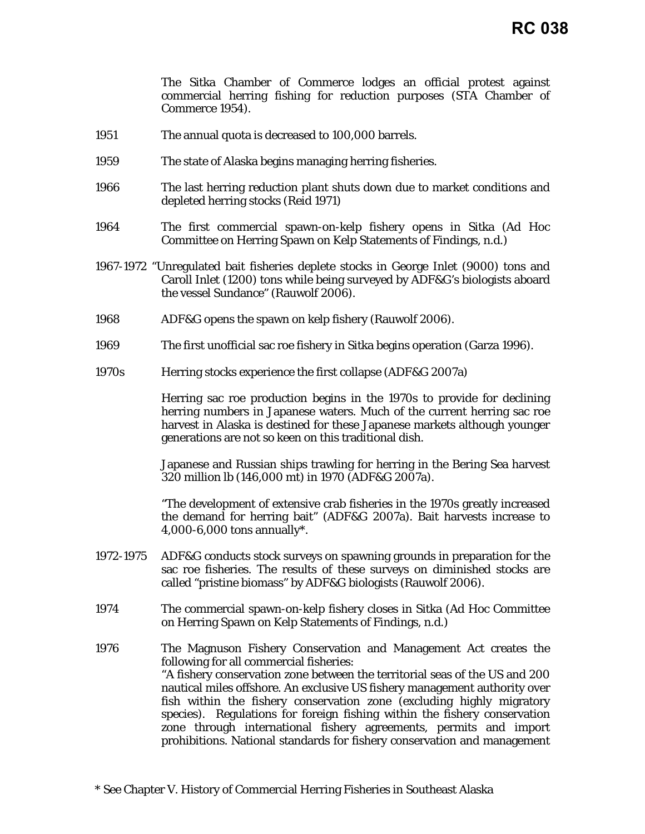The Sitka Chamber of Commerce lodges an official protest against commercial herring fishing for reduction purposes (STA Chamber of Commerce 1954).

- 1951 The annual quota is decreased to 100,000 barrels.
- 1959 The state of Alaska begins managing herring fisheries.
- 1966 The last herring reduction plant shuts down due to market conditions and depleted herring stocks (Reid 1971)
- 1964 The first commercial spawn-on-kelp fishery opens in Sitka (Ad Hoc Committee on Herring Spawn on Kelp Statements of Findings, n.d.)
- 1967-1972 "Unregulated bait fisheries deplete stocks in George Inlet (9000) tons and Caroll Inlet (1200) tons while being surveyed by ADF&G's biologists aboard the vessel Sundance" (Rauwolf 2006).
- 1968 ADF&G opens the spawn on kelp fishery (Rauwolf 2006).
- 1969 The first unofficial sac roe fishery in Sitka begins operation (Garza 1996).
- 1970s Herring stocks experience the first collapse (ADF&G 2007a)

Herring sac roe production begins in the 1970s to provide for declining herring numbers in Japanese waters. Much of the current herring sac roe harvest in Alaska is destined for these Japanese markets although younger generations are not so keen on this traditional dish.

Japanese and Russian ships trawling for herring in the Bering Sea harvest 320 million lb (146,000 mt) in 1970 (ADF&G 2007a).

"The development of extensive crab fisheries in the 1970s greatly increased the demand for herring bait" (ADF&G 2007a). Bait harvests increase to 4,000-6,000 tons annually\*.

- 1972-1975 ADF&G conducts stock surveys on spawning grounds in preparation for the sac roe fisheries. The results of these surveys on diminished stocks are called "pristine biomass" by ADF&G biologists (Rauwolf 2006).
- 1974 The commercial spawn-on-kelp fishery closes in Sitka (Ad Hoc Committee on Herring Spawn on Kelp Statements of Findings, n.d.)
- 1976 The Magnuson Fishery Conservation and Management Act creates the following for all commercial fisheries: "A fishery conservation zone between the territorial seas of the US and 200 nautical miles offshore. An exclusive US fishery management authority over fish within the fishery conservation zone (excluding highly migratory species). Regulations for foreign fishing within the fishery conservation zone through international fishery agreements, permits and import prohibitions. National standards for fishery conservation and management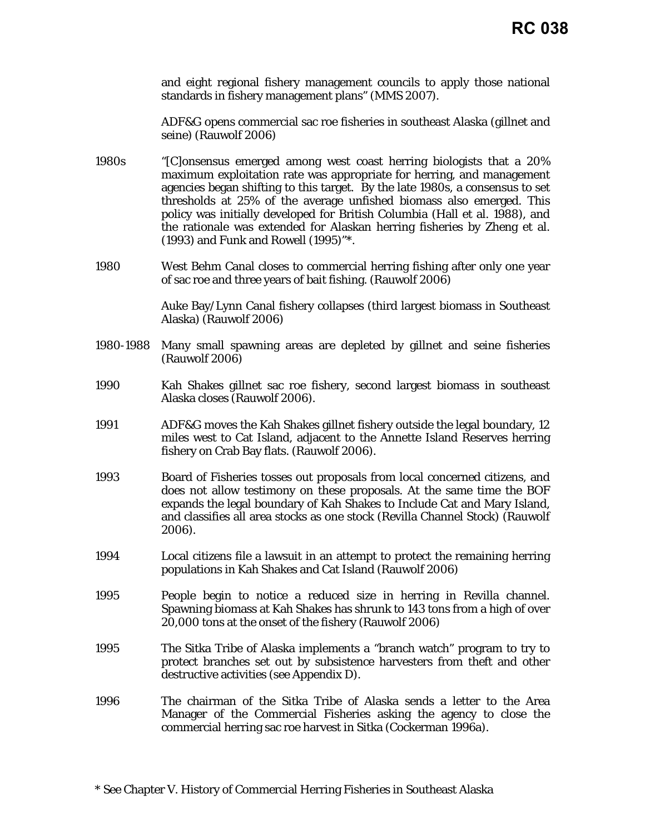and eight [regional fishery management councils](http://www.noaa.gov/nmfs/councils.html) to apply those national standards in fishery management plans" (MMS 2007).

ADF&G opens commercial sac roe fisheries in southeast Alaska (gillnet and seine) (Rauwolf 2006)

- 1980s "[C]onsensus emerged among west coast herring biologists that a 20% maximum exploitation rate was appropriate for herring, and management agencies began shifting to this target. By the late 1980s, a consensus to set thresholds at 25% of the average unfished biomass also emerged. This policy was initially developed for British Columbia (Hall et al. 1988), and the rationale was extended for Alaskan herring fisheries by Zheng et al. (1993) and Funk and Rowell (1995)"\*.
- 1980 West Behm Canal closes to commercial herring fishing after only one year of sac roe and three years of bait fishing. (Rauwolf 2006)

Auke Bay/Lynn Canal fishery collapses (third largest biomass in Southeast Alaska) (Rauwolf 2006)

- 1980-1988 Many small spawning areas are depleted by gillnet and seine fisheries (Rauwolf 2006)
- 1990 Kah Shakes gillnet sac roe fishery, second largest biomass in southeast Alaska closes (Rauwolf 2006).
- 1991 ADF&G moves the Kah Shakes gillnet fishery outside the legal boundary, 12 miles west to Cat Island, adjacent to the Annette Island Reserves herring fishery on Crab Bay flats. (Rauwolf 2006).
- 1993 Board of Fisheries tosses out proposals from local concerned citizens, and does not allow testimony on these proposals. At the same time the BOF expands the legal boundary of Kah Shakes to Include Cat and Mary Island, and classifies all area stocks as one stock (Revilla Channel Stock) (Rauwolf 2006).
- 1994 Local citizens file a lawsuit in an attempt to protect the remaining herring populations in Kah Shakes and Cat Island (Rauwolf 2006)
- 1995 People begin to notice a reduced size in herring in Revilla channel. Spawning biomass at Kah Shakes has shrunk to 143 tons from a high of over 20,000 tons at the onset of the fishery (Rauwolf 2006)
- 1995 The Sitka Tribe of Alaska implements a "branch watch" program to try to protect branches set out by subsistence harvesters from theft and other destructive activities (see Appendix D).
- 1996 The chairman of the Sitka Tribe of Alaska sends a letter to the Area Manager of the Commercial Fisheries asking the agency to close the commercial herring sac roe harvest in Sitka (Cockerman 1996a).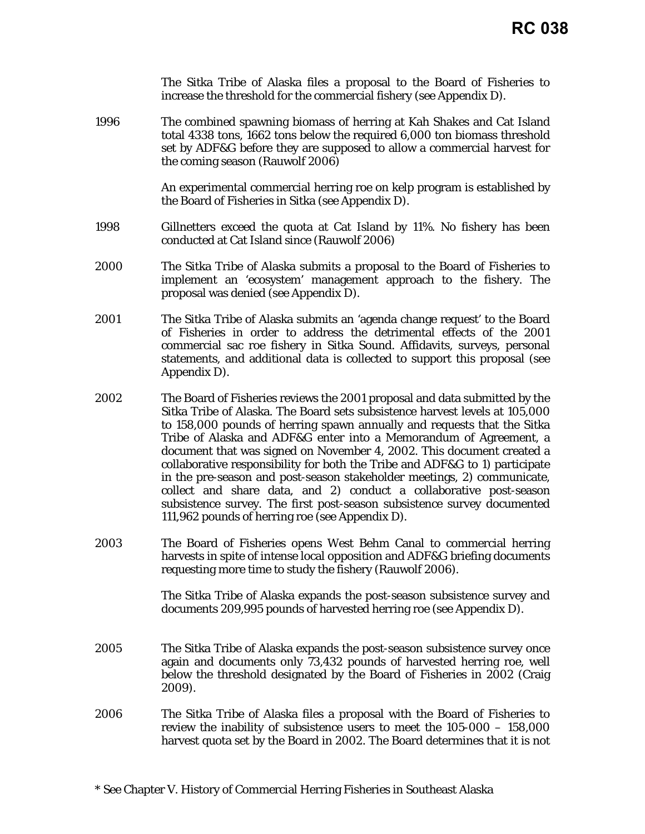|      | The Sitka Tribe of Alaska files a proposal to the Board of Fisheries to<br>increase the threshold for the commercial fishery (see Appendix D).                                                                                                                                                                                                                                                                                                                                                                                                                                                                                                                                                                                                   |
|------|--------------------------------------------------------------------------------------------------------------------------------------------------------------------------------------------------------------------------------------------------------------------------------------------------------------------------------------------------------------------------------------------------------------------------------------------------------------------------------------------------------------------------------------------------------------------------------------------------------------------------------------------------------------------------------------------------------------------------------------------------|
| 1996 | The combined spawning biomass of herring at Kah Shakes and Cat Island<br>total 4338 tons, 1662 tons below the required 6,000 ton biomass threshold<br>set by ADF&G before they are supposed to allow a commercial harvest for<br>the coming season (Rauwolf 2006)                                                                                                                                                                                                                                                                                                                                                                                                                                                                                |
|      | An experimental commercial herring roe on kelp program is established by<br>the Board of Fisheries in Sitka (see Appendix D).                                                                                                                                                                                                                                                                                                                                                                                                                                                                                                                                                                                                                    |
| 1998 | Gillnetters exceed the quota at Cat Island by 11%. No fishery has been<br>conducted at Cat Island since (Rauwolf 2006)                                                                                                                                                                                                                                                                                                                                                                                                                                                                                                                                                                                                                           |
| 2000 | The Sitka Tribe of Alaska submits a proposal to the Board of Fisheries to<br>implement an 'ecosystem' management approach to the fishery. The<br>proposal was denied (see Appendix D).                                                                                                                                                                                                                                                                                                                                                                                                                                                                                                                                                           |
| 2001 | The Sitka Tribe of Alaska submits an 'agenda change request' to the Board<br>of Fisheries in order to address the detrimental effects of the 2001<br>commercial sac roe fishery in Sitka Sound. Affidavits, surveys, personal<br>statements, and additional data is collected to support this proposal (see<br>Appendix D).                                                                                                                                                                                                                                                                                                                                                                                                                      |
| 2002 | The Board of Fisheries reviews the 2001 proposal and data submitted by the<br>Sitka Tribe of Alaska. The Board sets subsistence harvest levels at 105,000<br>to 158,000 pounds of herring spawn annually and requests that the Sitka<br>Tribe of Alaska and ADF&G enter into a Memorandum of Agreement, a<br>document that was signed on November 4, 2002. This document created a<br>collaborative responsibility for both the Tribe and ADF&G to 1) participate<br>in the pre-season and post-season stakeholder meetings, 2) communicate,<br>collect and share data, and 2) conduct a collaborative post-season<br>subsistence survey. The first post-season subsistence survey documented<br>111,962 pounds of herring roe (see Appendix D). |
| 2003 | The Board of Fisheries opens West Behm Canal to commercial herring<br>harvests in spite of intense local opposition and ADF&G briefing documents<br>requesting more time to study the fishery (Rauwolf 2006).                                                                                                                                                                                                                                                                                                                                                                                                                                                                                                                                    |
|      | The Sitka Tribe of Alaska expands the post-season subsistence survey and<br>documents 209,995 pounds of harvested herring roe (see Appendix D).                                                                                                                                                                                                                                                                                                                                                                                                                                                                                                                                                                                                  |
| 2005 | The Sitka Tribe of Alaska expands the post-season subsistence survey once<br>again and documents only 73,432 pounds of harvested herring roe, well<br>below the threshold designated by the Board of Fisheries in 2002 (Craig<br>2009).                                                                                                                                                                                                                                                                                                                                                                                                                                                                                                          |
| 2006 | The Sitka Tribe of Alaska files a proposal with the Board of Fisheries to<br>review the inability of subsistence users to meet the $105-000 - 158,000$<br>harvest quota set by the Board in 2002. The Board determines that it is not                                                                                                                                                                                                                                                                                                                                                                                                                                                                                                            |